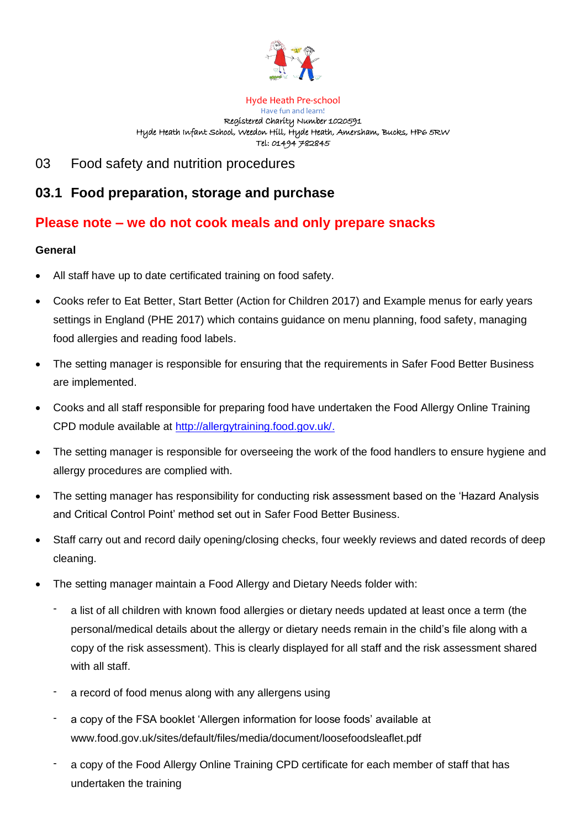

Hyde Heath Pre-school Have fun and learn! Registered Charity Number 1020591 Hyde Heath Infant School, Weedon Hill, Hyde Heath, Amersham, Bucks, HP6 5RW Tel: 01494 782845

03 Food safety and nutrition procedures

# **03.1 Food preparation, storage and purchase**

## **Please note – we do not cook meals and only prepare snacks**

## **General**

- All staff have up to date certificated training on food safety.
- Cooks refer to Eat Better, Start Better (Action for Children 2017) and Example menus for early years settings in England (PHE 2017) which contains guidance on menu planning, food safety, managing food allergies and reading food labels.
- The setting manager is responsible for ensuring that the requirements in Safer Food Better Business are implemented.
- Cooks and all staff responsible for preparing food have undertaken the Food Allergy Online Training CPD module available at [http://allergytraining.food.gov.uk/.](http://allergytraining.food.gov.uk/)
- The setting manager is responsible for overseeing the work of the food handlers to ensure hygiene and allergy procedures are complied with.
- The setting manager has responsibility for conducting risk assessment based on the 'Hazard Analysis and Critical Control Point' method set out in Safer Food Better Business.
- Staff carry out and record daily opening/closing checks, four weekly reviews and dated records of deep cleaning.
- The setting manager maintain a Food Allergy and Dietary Needs folder with:
	- a list of all children with known food allergies or dietary needs updated at least once a term (the personal/medical details about the allergy or dietary needs remain in the child's file along with a copy of the risk assessment). This is clearly displayed for all staff and the risk assessment shared with all staff.
	- a record of food menus along with any allergens using
	- a copy of the FSA booklet 'Allergen information for loose foods' available at www.food.gov.uk/sites/default/files/media/document/loosefoodsleaflet.pdf
	- a copy of the Food Allergy Online Training CPD certificate for each member of staff that has undertaken the training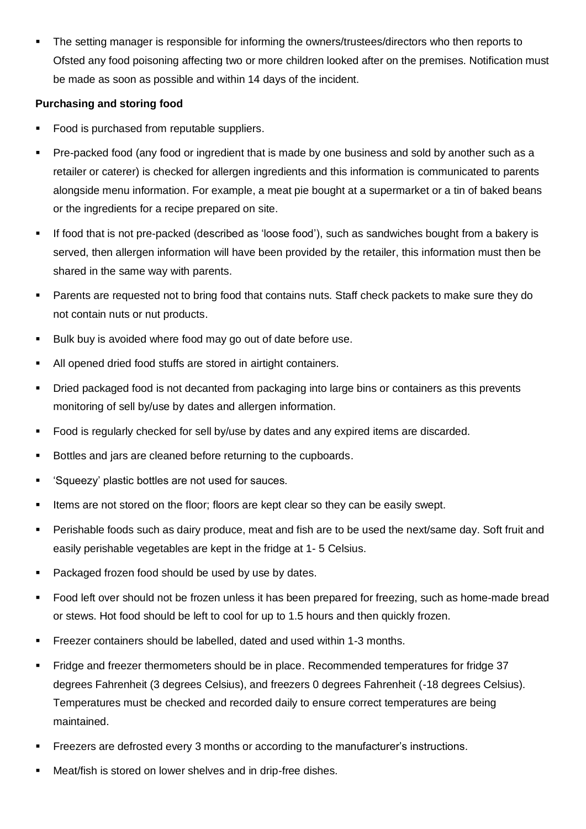The setting manager is responsible for informing the owners/trustees/directors who then reports to Ofsted any food poisoning affecting two or more children looked after on the premises. Notification must be made as soon as possible and within 14 days of the incident.

## **Purchasing and storing food**

- Food is purchased from reputable suppliers.
- Pre-packed food (any food or ingredient that is made by one business and sold by another such as a retailer or caterer) is checked for allergen ingredients and this information is communicated to parents alongside menu information. For example, a meat pie bought at a supermarket or a tin of baked beans or the ingredients for a recipe prepared on site.
- If food that is not pre-packed (described as 'loose food'), such as sandwiches bought from a bakery is served, then allergen information will have been provided by the retailer, this information must then be shared in the same way with parents.
- Parents are requested not to bring food that contains nuts. Staff check packets to make sure they do not contain nuts or nut products.
- Bulk buy is avoided where food may go out of date before use.
- All opened dried food stuffs are stored in airtight containers.
- Dried packaged food is not decanted from packaging into large bins or containers as this prevents monitoring of sell by/use by dates and allergen information.
- Food is regularly checked for sell by/use by dates and any expired items are discarded.
- Bottles and jars are cleaned before returning to the cupboards.
- 'Squeezy' plastic bottles are not used for sauces.
- **EXECT** Items are not stored on the floor; floors are kept clear so they can be easily swept.
- Perishable foods such as dairy produce, meat and fish are to be used the next/same day. Soft fruit and easily perishable vegetables are kept in the fridge at 1- 5 Celsius.
- Packaged frozen food should be used by use by dates.
- Food left over should not be frozen unless it has been prepared for freezing, such as home-made bread or stews. Hot food should be left to cool for up to 1.5 hours and then quickly frozen.
- Freezer containers should be labelled, dated and used within 1-3 months.
- Fridge and freezer thermometers should be in place. Recommended temperatures for fridge 37 degrees Fahrenheit (3 degrees Celsius), and freezers 0 degrees Fahrenheit (-18 degrees Celsius). Temperatures must be checked and recorded daily to ensure correct temperatures are being maintained.
- Freezers are defrosted every 3 months or according to the manufacturer's instructions.
- Meat/fish is stored on lower shelves and in drip-free dishes.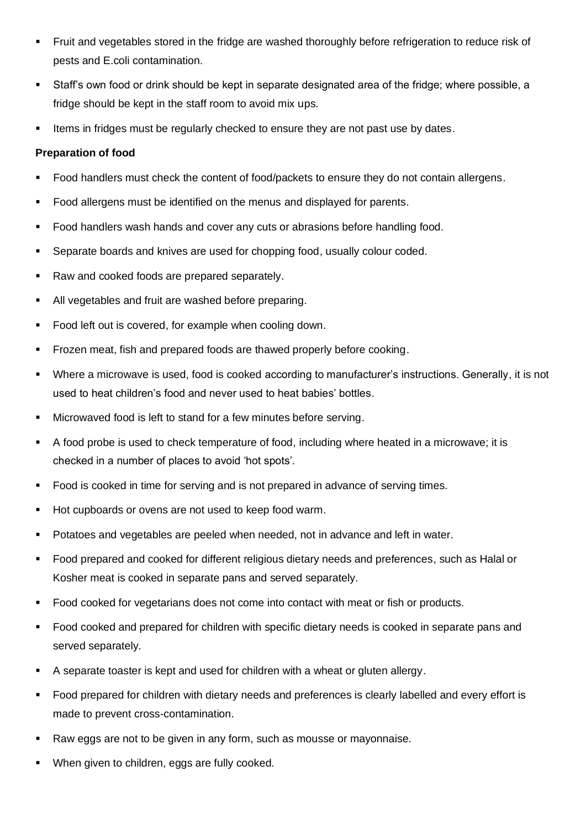- **EXECT FRUIT AND VEGETABLES STATED IS A THE FRIDGE ARE FRIGHT AT A FRIDGE IS A THANGE.** FIGURE THE FIGURE FIGHT OF THIS A FIGURE 15 THIS A FIGURE 15 THIS A FIGURE 15 THIS A FIGURE 15 THIS A FIGURE 15 THIS A FIGURE 15 THIS pests and E.coli contamination.
- Staff's own food or drink should be kept in separate designated area of the fridge; where possible, a fridge should be kept in the staff room to avoid mix ups.
- **EXECT** Items in fridges must be regularly checked to ensure they are not past use by dates.

#### **Preparation of food**

- Food handlers must check the content of food/packets to ensure they do not contain allergens.
- Food allergens must be identified on the menus and displayed for parents.
- Food handlers wash hands and cover any cuts or abrasions before handling food.
- Separate boards and knives are used for chopping food, usually colour coded.
- Raw and cooked foods are prepared separately.
- All vegetables and fruit are washed before preparing.
- Food left out is covered, for example when cooling down.
- Frozen meat, fish and prepared foods are thawed properly before cooking.
- Where a microwave is used, food is cooked according to manufacturer's instructions. Generally, it is not used to heat children's food and never used to heat babies' bottles.
- Microwaved food is left to stand for a few minutes before serving.
- A food probe is used to check temperature of food, including where heated in a microwave; it is checked in a number of places to avoid 'hot spots'.
- Food is cooked in time for serving and is not prepared in advance of serving times.
- Hot cupboards or ovens are not used to keep food warm.
- Potatoes and vegetables are peeled when needed, not in advance and left in water.
- Food prepared and cooked for different religious dietary needs and preferences, such as Halal or Kosher meat is cooked in separate pans and served separately.
- Food cooked for vegetarians does not come into contact with meat or fish or products.
- Food cooked and prepared for children with specific dietary needs is cooked in separate pans and served separately.
- A separate toaster is kept and used for children with a wheat or gluten allergy.
- Food prepared for children with dietary needs and preferences is clearly labelled and every effort is made to prevent cross-contamination.
- Raw eggs are not to be given in any form, such as mousse or mayonnaise.
- When given to children, eggs are fully cooked.